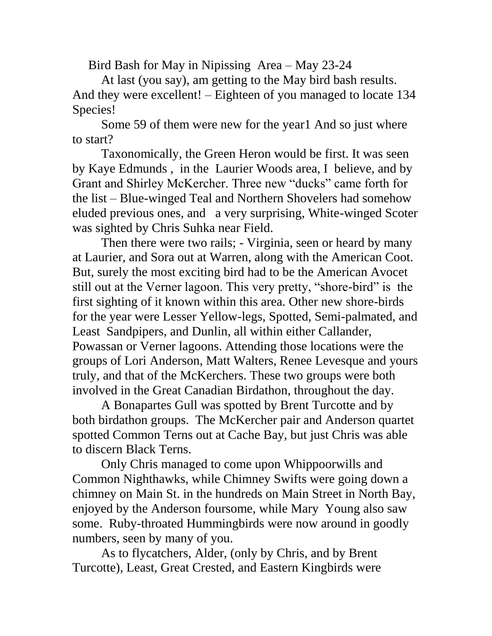Bird Bash for May in Nipissing Area – May 23-24

At last (you say), am getting to the May bird bash results. And they were excellent! – Eighteen of you managed to locate 134 Species!

Some 59 of them were new for the year1 And so just where to start?

Taxonomically, the Green Heron would be first. It was seen by Kaye Edmunds , in the Laurier Woods area, I believe, and by Grant and Shirley McKercher. Three new "ducks" came forth for the list – Blue-winged Teal and Northern Shovelers had somehow eluded previous ones, and a very surprising, White-winged Scoter was sighted by Chris Suhka near Field.

Then there were two rails; - Virginia, seen or heard by many at Laurier, and Sora out at Warren, along with the American Coot. But, surely the most exciting bird had to be the American Avocet still out at the Verner lagoon. This very pretty, "shore-bird" is the first sighting of it known within this area. Other new shore-birds for the year were Lesser Yellow-legs, Spotted, Semi-palmated, and Least Sandpipers, and Dunlin, all within either Callander, Powassan or Verner lagoons. Attending those locations were the groups of Lori Anderson, Matt Walters, Renee Levesque and yours truly, and that of the McKerchers. These two groups were both involved in the Great Canadian Birdathon, throughout the day.

A Bonapartes Gull was spotted by Brent Turcotte and by both birdathon groups. The McKercher pair and Anderson quartet spotted Common Terns out at Cache Bay, but just Chris was able to discern Black Terns.

Only Chris managed to come upon Whippoorwills and Common Nighthawks, while Chimney Swifts were going down a chimney on Main St. in the hundreds on Main Street in North Bay, enjoyed by the Anderson foursome, while Mary Young also saw some. Ruby-throated Hummingbirds were now around in goodly numbers, seen by many of you.

As to flycatchers, Alder, (only by Chris, and by Brent Turcotte), Least, Great Crested, and Eastern Kingbirds were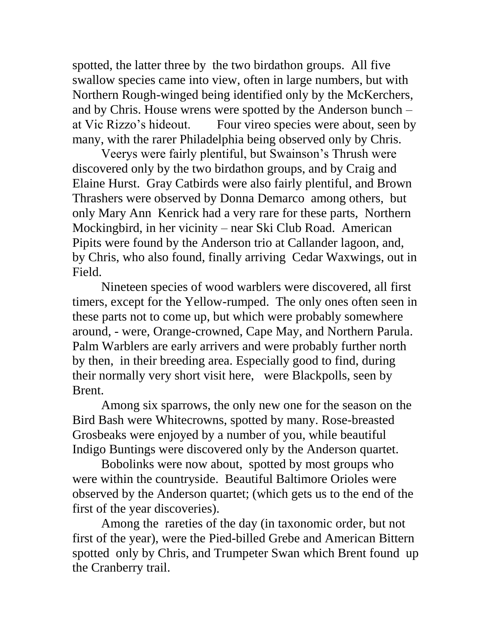spotted, the latter three by the two birdathon groups. All five swallow species came into view, often in large numbers, but with Northern Rough-winged being identified only by the McKerchers, and by Chris. House wrens were spotted by the Anderson bunch – at Vic Rizzo's hideout. Four vireo species were about, seen by many, with the rarer Philadelphia being observed only by Chris.

Veerys were fairly plentiful, but Swainson's Thrush were discovered only by the two birdathon groups, and by Craig and Elaine Hurst. Gray Catbirds were also fairly plentiful, and Brown Thrashers were observed by Donna Demarco among others, but only Mary Ann Kenrick had a very rare for these parts, Northern Mockingbird, in her vicinity – near Ski Club Road. American Pipits were found by the Anderson trio at Callander lagoon, and, by Chris, who also found, finally arriving Cedar Waxwings, out in Field.

Nineteen species of wood warblers were discovered, all first timers, except for the Yellow-rumped. The only ones often seen in these parts not to come up, but which were probably somewhere around, - were, Orange-crowned, Cape May, and Northern Parula. Palm Warblers are early arrivers and were probably further north by then, in their breeding area. Especially good to find, during their normally very short visit here, were Blackpolls, seen by Brent.

Among six sparrows, the only new one for the season on the Bird Bash were Whitecrowns, spotted by many. Rose-breasted Grosbeaks were enjoyed by a number of you, while beautiful Indigo Buntings were discovered only by the Anderson quartet.

Bobolinks were now about, spotted by most groups who were within the countryside. Beautiful Baltimore Orioles were observed by the Anderson quartet; (which gets us to the end of the first of the year discoveries).

Among the rareties of the day (in taxonomic order, but not first of the year), were the Pied-billed Grebe and American Bittern spotted only by Chris, and Trumpeter Swan which Brent found up the Cranberry trail.